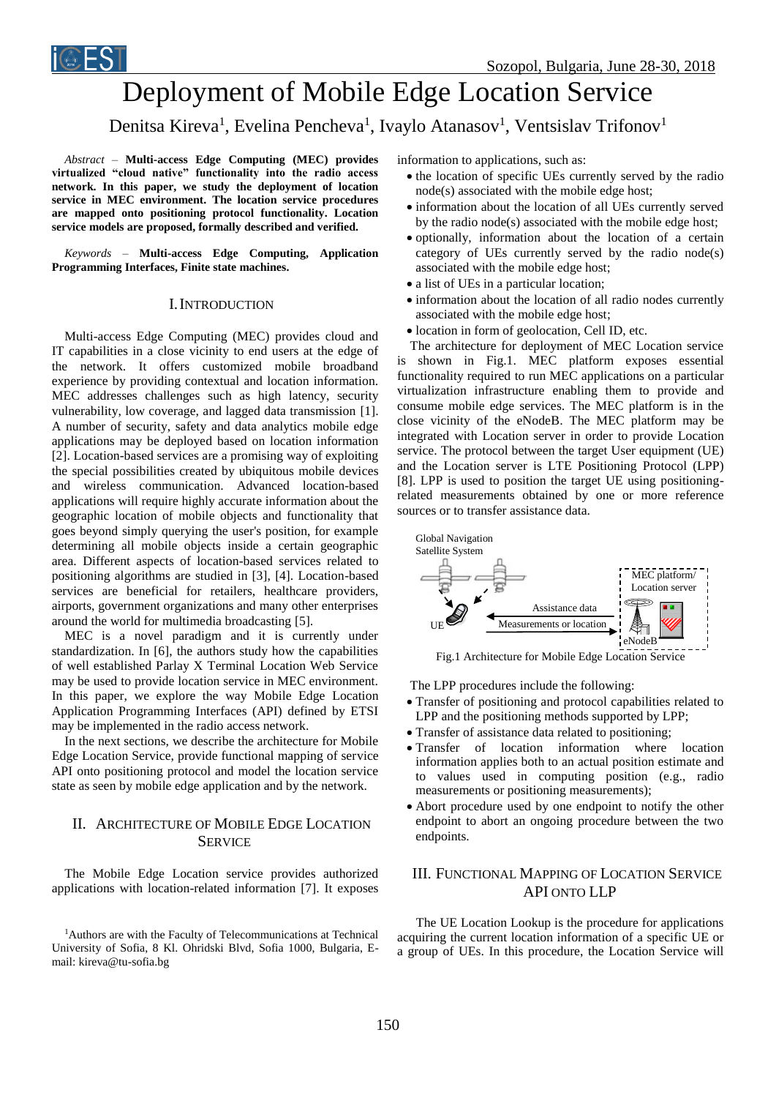

# Deployment of Mobile Edge Location Service

# Denitsa Kireva<sup>1</sup>, Evelina Pencheva<sup>1</sup>, Ivaylo Atanasov<sup>1</sup>, Ventsislav Trifonov<sup>1</sup>

*Abstract –* **Multi-access Edge Computing (MEC) provides virtualized "cloud native" functionality into the radio access network. In this paper, we study the deployment of location service in MEC environment. The location service procedures are mapped onto positioning protocol functionality. Location service models are proposed, formally described and verified.**

*Keywords –* **Multi-access Edge Computing, Application Programming Interfaces, Finite state machines.**

#### I.INTRODUCTION

Multi-access Edge Computing (MEC) provides cloud and IT capabilities in a close vicinity to end users at the edge of the network. It offers customized mobile broadband experience by providing contextual and location information. MEC addresses challenges such as high latency, security vulnerability, low coverage, and lagged data transmission [1]. A number of security, safety and data analytics mobile edge applications may be deployed based on location information [2]. Location-based services are a promising way of exploiting the special possibilities created by ubiquitous mobile devices and wireless communication. Advanced location-based applications will require highly accurate information about the geographic location of mobile objects and functionality that goes beyond simply querying the user's position, for example determining all mobile objects inside a certain geographic area. Different aspects of location-based services related to positioning algorithms are studied in [3], [4]. Location-based services are beneficial for retailers, healthcare providers, airports, government organizations and many other enterprises around the world for multimedia broadcasting [5].

MEC is a novel paradigm and it is currently under standardization. In [6], the authors study how the capabilities of well established Parlay X Terminal Location Web Service may be used to provide location service in MEC environment. In this paper, we explore the way Mobile Edge Location Application Programming Interfaces (API) defined by ETSI may be implemented in the radio access network.

In the next sections, we describe the architecture for Mobile Edge Location Service, provide functional mapping of service API onto positioning protocol and model the location service state as seen by mobile edge application and by the network.

# II. ARCHITECTURE OF MOBILE EDGE LOCATION **SERVICE**

The Mobile Edge Location service provides authorized applications with location-related information [7]. It exposes information to applications, such as:

- the location of specific UEs currently served by the radio node(s) associated with the mobile edge host;
- information about the location of all UEs currently served by the radio node(s) associated with the mobile edge host;
- optionally, information about the location of a certain category of UEs currently served by the radio node(s) associated with the mobile edge host;
- a list of UEs in a particular location;
- information about the location of all radio nodes currently associated with the mobile edge host;
- $\bullet$  location in form of geolocation, Cell ID, etc.

The architecture for deployment of MEC Location service is shown in Fig.1. MEC platform exposes essential functionality required to run MEC applications on a particular virtualization infrastructure enabling them to provide and consume mobile edge services. The MEC platform is in the close vicinity of the eNodeB. The MEC platform may be integrated with Location server in order to provide Location service. The protocol between the target User equipment (UE) and the Location server is LTE Positioning Protocol (LPP) [8]. LPP is used to position the target UE using positioningrelated measurements obtained by one or more reference sources or to transfer assistance data.



Fig.1 Architecture for Mobile Edge Location Service

The LPP procedures include the following:

- Transfer of positioning and protocol capabilities related to LPP and the positioning methods supported by LPP;
- Transfer of assistance data related to positioning:
- Transfer of location information where location information applies both to an actual position estimate and to values used in computing position (e.g., radio measurements or positioning measurements);
- Abort procedure used by one endpoint to notify the other endpoint to abort an ongoing procedure between the two endpoints.

# III. FUNCTIONAL MAPPING OF LOCATION SERVICE API ONTO LLP

The UE Location Lookup is the procedure for applications acquiring the current location information of a specific UE or a group of UEs. In this procedure, the Location Service will

<sup>1</sup>Authors are with the Faculty of Telecommunications at Technical University of Sofia, 8 Kl. Ohridski Blvd, Sofia 1000, Bulgaria, Email: kireva@tu-sofia.bg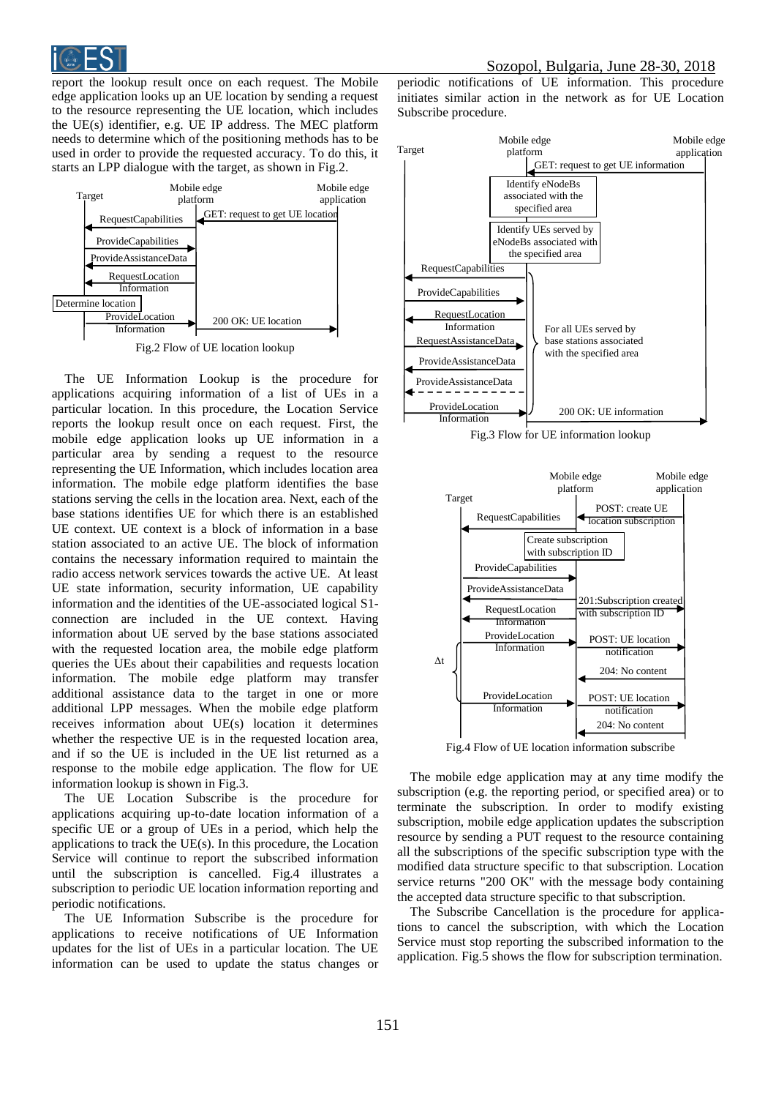

report the lookup result once on each request. The Mobile edge application looks up an UE location by sending a request to the resource representing the UE location, which includes the UE(s) identifier, e.g. UE IP address. The MEC platform needs to determine which of the positioning methods has to be used in order to provide the requested accuracy. To do this, it starts an LPP dialogue with the target, as shown in Fig.2.



The UE Information Lookup is the procedure for applications acquiring information of a list of UEs in a particular location. In this procedure, the Location Service reports the lookup result once on each request. First, the mobile edge application looks up UE information in a particular area by sending a request to the resource representing the UE Information, which includes location area information. The mobile edge platform identifies the base stations serving the cells in the location area. Next, each of the base stations identifies UE for which there is an established UE context. UE context is a block of information in a base station associated to an active UE. The block of information contains the necessary information required to maintain the radio access network services towards the active UE. At least UE state information, security information, UE capability information and the identities of the UE-associated logical S1 connection are included in the UE context. Having information about UE served by the base stations associated with the requested location area, the mobile edge platform queries the UEs about their capabilities and requests location information. The mobile edge platform may transfer additional assistance data to the target in one or more additional LPP messages. When the mobile edge platform receives information about UE(s) location it determines whether the respective UE is in the requested location area, and if so the UE is included in the UE list returned as a response to the mobile edge application. The flow for UE information lookup is shown in Fig.3.

The UE Location Subscribe is the procedure for applications acquiring up-to-date location information of a specific UE or a group of UEs in a period, which help the applications to track the UE(s). In this procedure, the Location Service will continue to report the subscribed information until the subscription is cancelled. Fig.4 illustrates a subscription to periodic UE location information reporting and periodic notifications.

The UE Information Subscribe is the procedure for applications to receive notifications of UE Information updates for the list of UEs in a particular location. The UE information can be used to update the status changes or

periodic notifications of UE information. This procedure initiates similar action in the network as for UE Location Subscribe procedure.



Fig.3 Flow for UE information lookup



Fig.4 Flow of UE location information subscribe

The mobile edge application may at any time modify the subscription (e.g. the reporting period, or specified area) or to terminate the subscription. In order to modify existing subscription, mobile edge application updates the subscription resource by sending a PUT request to the resource containing all the subscriptions of the specific subscription type with the modified data structure specific to that subscription. Location service returns "200 OK" with the message body containing the accepted data structure specific to that subscription.

The Subscribe Cancellation is the procedure for applications to cancel the subscription, with which the Location Service must stop reporting the subscribed information to the application. Fig.5 shows the flow for subscription termination.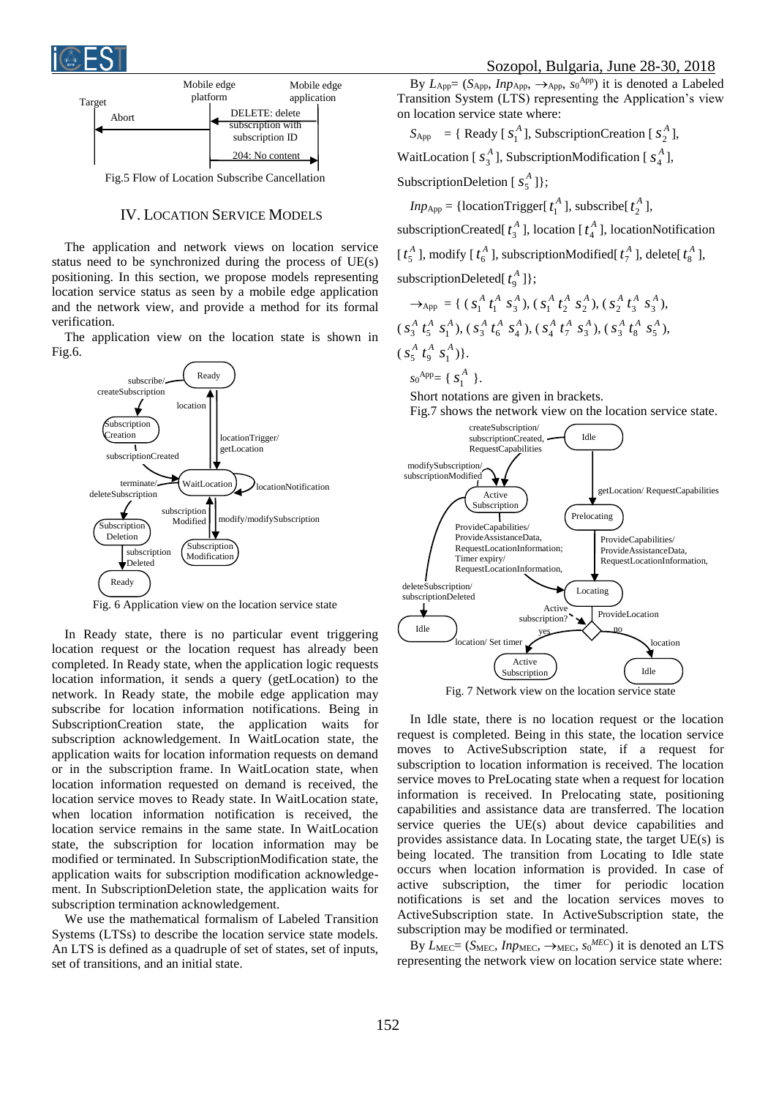



### IV. LOCATION SERVICE MODELS

The application and network views on location service status need to be synchronized during the process of UE(s) positioning. In this section, we propose models representing location service status as seen by a mobile edge application and the network view, and provide a method for its formal verification.

The application view on the location state is shown in Fig.6.



Fig. 6 Application view on the location service state

In Ready state, there is no particular event triggering location request or the location request has already been completed. In Ready state, when the application logic requests location information, it sends a query (getLocation) to the network. In Ready state, the mobile edge application may subscribe for location information notifications. Being in SubscriptionCreation state, the application waits for subscription acknowledgement. In WaitLocation state, the application waits for location information requests on demand or in the subscription frame. In WaitLocation state, when location information requested on demand is received, the location service moves to Ready state. In WaitLocation state, when location information notification is received, the location service remains in the same state. In WaitLocation state, the subscription for location information may be modified or terminated. In SubscriptionModification state, the application waits for subscription modification acknowledgement. In SubscriptionDeletion state, the application waits for subscription termination acknowledgement.

We use the mathematical formalism of Labeled Transition Systems (LTSs) to describe the location service state models. An LTS is defined as a quadruple of set of states, set of inputs, set of transitions, and an initial state.

By  $L_{\text{App}} = (S_{\text{App}}, \text{Inp}_{\text{App}}, \rightarrow_{\text{App}}, \text{so}^{\text{App}})$  it is denoted a Labeled Transition System (LTS) representing the Application's view on location service state where:

 $S_{\text{App}} = \{$  Ready [ $s_1^A$ ], SubscriptionCreation [ $s_2^A$ ],

WaitLocation [ $s_3^A$ ], SubscriptionModification [ $s_4^A$ ],

SubscriptionDeletion  $[s_5^A]$ ;

*Inp*<sub>App</sub> = {locationTrigger[ $t_1^A$ ], subscribe[ $t_2^A$ ],

subscriptionCreated[ $t_3^A$ ], location [ $t_4^A$ ], locationNotification [ $t_5^A$ ], modify [ $t_6^A$ ], subscriptionModified[ $t_7^A$ ], delete[ $t_8^A$ ], subscriptionDeleted $[t_9^A]$ ;

$$
\rightarrow_{\text{App}} = \{ (s_1^A \ t_1^A \ s_3^A), (s_1^A \ t_2^A \ s_2^A), (s_2^A \ t_3^A \ s_3^A), (s_3^A \ t_5^A \ s_1^A), (s_3^A \ t_6^A \ s_4^A), (s_4^A \ t_7^A \ s_3^A), (s_3^A \ t_8^A \ s_5^A), (s_5^A \ t_9^A \ s_1^A) \}.
$$

 $s_0^{App} = \{ S_1^A \}$ .

Short notations are given in brackets. Fig.7 shows the network view on the location service state.



Fig. 7 Network view on the location service state

In Idle state, there is no location request or the location request is completed. Being in this state, the location service moves to ActiveSubscription state, if a request for subscription to location information is received. The location service moves to PreLocating state when a request for location information is received. In Prelocating state, positioning capabilities and assistance data are transferred. The location service queries the UE(s) about device capabilities and provides assistance data. In Locating state, the target UE(s) is being located. The transition from Locating to Idle state occurs when location information is provided. In case of active subscription, the timer for periodic location notifications is set and the location services moves to ActiveSubscription state. In ActiveSubscription state, the subscription may be modified or terminated.

By  $L_{\text{MEC}} = (S_{\text{MEC}}, \text{Imp}_{\text{MEC}}, \rightarrow_{\text{MEC}}, \text{ } s_0^{\text{MEC}})$  it is denoted an LTS representing the network view on location service state where: